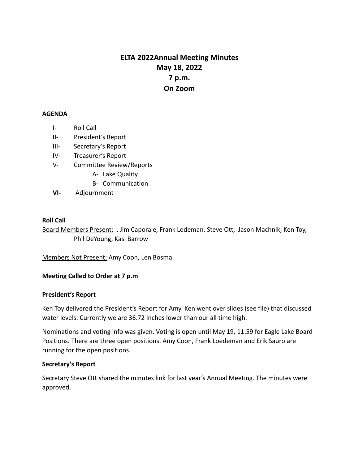# **ELTA 2022Annual Meeting Minutes May 18, 2022 7 p.m. On Zoom**

#### **AGENDA**

- I- Roll Call
- II- President's Report
- III- Secretary's Report
- IV- Treasurer's Report
- V- Committee Review/Reports
	- A- Lake Quality
	- B- Communication
- **VI-** Adjournment

#### **Roll Call**

Board Members Present: , Jim Caporale, Frank Lodeman, Steve Ott, Jason Machnik, Ken Toy, Phil DeYoung, Kasi Barrow

Members Not Present: Amy Coon, Len Bosma

#### **Meeting Called to Order at 7 p.m**

#### **President's Report**

Ken Toy delivered the President's Report for Amy. Ken went over slides (see file) that discussed water levels. Currently we are 36.72 inches lower than our all time high.

Nominations and voting info was given. Voting is open until May 19, 11:59 for Eagle Lake Board Positions. There are three open positions. Amy Coon, Frank Loedeman and Erik Sauro are running for the open positions.

#### **Secretary's Report**

Secretary Steve Ott shared the minutes link for last year's Annual Meeting. The minutes were approved.